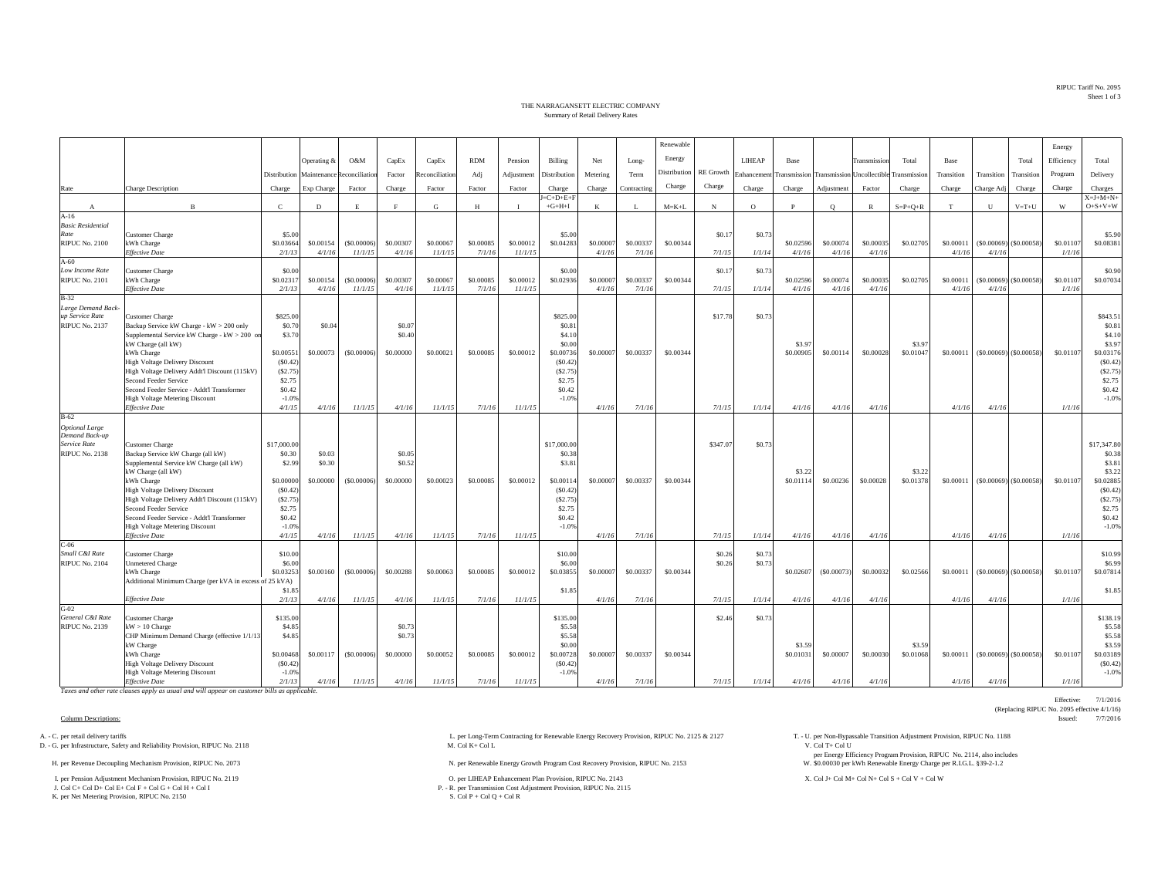RIPUC Tariff No. 2095Sheet 1 of 3

## THE NARRAGANSETT ELECTRIC COMPANYSummary of Retail Delivery Rates

|                                          |                                                                                          |                    |             |                |                  |               |            |              |                     |           |             | Renewable           |                  |            |                     |                |                                   |                     |            |            |                               | Energy     |                     |
|------------------------------------------|------------------------------------------------------------------------------------------|--------------------|-------------|----------------|------------------|---------------|------------|--------------|---------------------|-----------|-------------|---------------------|------------------|------------|---------------------|----------------|-----------------------------------|---------------------|------------|------------|-------------------------------|------------|---------------------|
|                                          |                                                                                          |                    | Operating & | O&M            | CapEx            | CapEx         | <b>RDM</b> | Pension      | Billing             | Net       | Long-       | Energy              |                  | LIHEAP     | Base                |                | Transmission                      | Total               | Base       |            | Total                         | Efficiency | Total               |
|                                          |                                                                                          | Distribution       | Maintenance | Reconciliation | Factor           | econciliation | Adj        | Adjustment   | Distribution        | Metering  | Term        | <b>Distribution</b> | <b>RE</b> Growth | Enhancemen | Transmission        |                | <b>Transmission Uncollectible</b> | Transmission        | Transition | Transition | Transition                    | Program    | Delivery            |
|                                          | Charge Description                                                                       |                    | Exp Charge  | Factor         | Charge           | Factor        | Factor     | Factor       | Charge              | Charge    | Contracting | Charge              | Charge           | Charge     | Charge              | Adjustment     | Factor                            | Charge              | Charge     | Charge Adj | Charge                        | Charge     | Charges             |
| Rate                                     |                                                                                          | Charge             |             |                |                  |               |            |              | $J = C + D + E + F$ |           |             |                     |                  |            |                     |                |                                   |                     |            |            |                               |            | $X = J + M + N +$   |
| $\mathbf{A}$                             | $\mathbf{B}$                                                                             | $\mathbf C$        | D           | E.             |                  | ${\bf G}$     | H          | $\mathbf{I}$ | $+G+H+I$            | K         | - 1         | $M = K + L$         | N                | $\circ$    | P                   | $\circ$        | $\mathbb{R}$                      | $S = P + Q + R$     | T          | U          | $V = T + U$                   | W          | $O + S + V + W$     |
| $A-16$                                   |                                                                                          |                    |             |                |                  |               |            |              |                     |           |             |                     |                  |            |                     |                |                                   |                     |            |            |                               |            |                     |
| <b>Basic Residential</b><br>Rate         | Customer Charge                                                                          | \$5.00             |             |                |                  |               |            |              | \$5.00              |           |             |                     | \$0.1            | \$0.73     |                     |                |                                   |                     |            |            |                               |            | \$5.90              |
| <b>RIPUC No. 2100</b>                    | kWh Charge                                                                               | \$0.03664          | \$0.00154   | (S0.00006)     | \$0.00307        | \$0,00067     | \$0,00085  | \$0.00012    | \$0.04283           | \$0.0000  | \$0.00337   | \$0.00344           |                  |            | \$0.02596           | \$0.00074      | \$0.00035                         | \$0.0270            | \$0.00011  |            | $($ \$0.00069) $($ \$0.00058  | \$0.01107  | \$0.08381           |
|                                          | <b>Effective Date</b>                                                                    | 2/1/13             | 4/1/16      | 11/1/15        | 4/1/16           | 11/1/15       | 7/1/16     | 11/1/15      |                     | 4/1/16    | 7/1/16      |                     | 7/1/15           | 1/1/14     | 4/1/16              | 4/1/16         | 4/1/16                            |                     | 4/1/16     | 4/1/16     |                               | 1/1/16     |                     |
| $A-60$                                   |                                                                                          |                    |             |                |                  |               |            |              |                     |           |             |                     |                  |            |                     |                |                                   |                     |            |            |                               |            |                     |
| Low Income Rate<br><b>RIPUC No. 2101</b> | <b>Customer Charge</b><br>kWh Charge                                                     | \$0.00<br>\$0.0231 | \$0.00154   | (S0,00006)     | \$0,00307        | \$0,00067     | \$0,00085  | \$0,00012    | \$0.00<br>\$0.02936 | \$0,0000  | \$0,00337   | \$0,00344           | \$0.17           | \$0.73     | \$0.02596           | \$0,00074      | \$0,00035                         | \$0,02705           | \$0,00011  |            | $(S0.00069)$ (\$0,00058)      | \$0,01107  | \$0.90<br>\$0.07034 |
|                                          | <b>Effective Date</b>                                                                    | 2/1/13             | 4/1/16      | 11/1/15        | 4/1/16           | 11/1/15       | 7/1/16     | 11/1/15      |                     | 4/1/16    | 7/1/16      |                     | 7/1/15           | 1/1/14     | 4/1/16              | 4/1/16         | 4/1/16                            |                     | 4/1/16     | 4/1/16     |                               | 1/1/16     |                     |
| $B-32$                                   |                                                                                          |                    |             |                |                  |               |            |              |                     |           |             |                     |                  |            |                     |                |                                   |                     |            |            |                               |            |                     |
| Large Demand Back-                       |                                                                                          |                    |             |                |                  |               |            |              |                     |           |             |                     |                  |            |                     |                |                                   |                     |            |            |                               |            |                     |
| up Service Rate                          | Customer Charge                                                                          | \$825.00           |             |                |                  |               |            |              | \$825.00            |           |             |                     | \$17.78          | \$0.7      |                     |                |                                   |                     |            |            |                               |            | \$843.51            |
| <b>RIPUC No. 2137</b>                    | Backup Service kW Charge - kW > 200 only<br>Supplemental Service kW Charge - kW > 200 or | \$0.70<br>\$3.70   | \$0.04      |                | \$0.07<br>\$0.40 |               |            |              | \$0.81<br>\$4.10    |           |             |                     |                  |            |                     |                |                                   |                     |            |            |                               |            | \$0.81<br>\$4.10    |
|                                          | kW Charge (all kW)                                                                       |                    |             |                |                  |               |            |              | \$0.00              |           |             |                     |                  |            | \$3.97              |                |                                   | \$3.97              |            |            |                               |            | \$3.97              |
|                                          | kWh Charge                                                                               | \$0.00551          | \$0.00073   | (\$0.00006)    | \$0,00000        | \$0.00021     | \$0.00085  | \$0.00012    | \$0.00736           | \$0.00007 | \$0.00337   | \$0.00344           |                  |            | \$0.00905           | \$0.00114      | \$0.00028                         | \$0.01047           | \$0.00011  |            | $($ \$0.00069) $($ \$0.00058) | \$0.01107  | \$0.03176           |
|                                          | <b>High Voltage Delivery Discount</b>                                                    | (S0.42)            |             |                |                  |               |            |              | (S0.42)             |           |             |                     |                  |            |                     |                |                                   |                     |            |            |                               |            | (S0.42)             |
|                                          | High Voltage Delivery Addt'l Discount (115kV)<br>Second Feeder Service                   | (S2.75)<br>\$2.75  |             |                |                  |               |            |              | (S2.75)<br>\$2.75   |           |             |                     |                  |            |                     |                |                                   |                     |            |            |                               |            | (S2.75)<br>\$2.75   |
|                                          | Second Feeder Service - Addt'l Transformer                                               | \$0.42             |             |                |                  |               |            |              | \$0.42              |           |             |                     |                  |            |                     |                |                                   |                     |            |            |                               |            | \$0.42              |
|                                          | High Voltage Metering Discount                                                           | $-1.0%$            |             |                |                  |               |            |              | $-1.0%$             |           |             |                     |                  |            |                     |                |                                   |                     |            |            |                               |            | $-1.0%$             |
|                                          | <b>Effective Date</b>                                                                    | 4/1/15             | 4/1/16      | 11/1/15        | 4/1/16           | 11/1/15       | 7/1/16     | 11/1/15      |                     | 4/1/16    | 7/1/16      |                     | 7/1/15           | 1/1/14     | 4/1/16              | 4/1/16         | 4/1/16                            |                     | 4/1/16     | 4/1/16     |                               | 1/1/16     |                     |
| B-62                                     |                                                                                          |                    |             |                |                  |               |            |              |                     |           |             |                     |                  |            |                     |                |                                   |                     |            |            |                               |            |                     |
| <b>Optional Large</b><br>Demand Back-up  |                                                                                          |                    |             |                |                  |               |            |              |                     |           |             |                     |                  |            |                     |                |                                   |                     |            |            |                               |            |                     |
| Service Rate                             | Customer Charge                                                                          | \$17,000.00        |             |                |                  |               |            |              | \$17,000.00         |           |             |                     | \$347.07         | \$0.7      |                     |                |                                   |                     |            |            |                               |            | \$17,347.80         |
| <b>RIPUC No. 2138</b>                    | Backup Service kW Charge (all kW)                                                        | \$0.30             | \$0.03      |                | \$0.05           |               |            |              | \$0.38              |           |             |                     |                  |            |                     |                |                                   |                     |            |            |                               |            | \$0.38              |
|                                          | Supplemental Service kW Charge (all kW)                                                  | \$2.99             | \$0.30      |                | \$0.52           |               |            |              | \$3.81              |           |             |                     |                  |            |                     |                |                                   |                     |            |            |                               |            | \$3.81              |
|                                          | kW Charge (all kW)<br>kWh Charge                                                         | \$0,00000          | \$0,00000   | (S0.00006)     | \$0,00000        | \$0,00023     | \$0,00085  | \$0,00012    | \$0.00114           | \$0.00007 | \$0,00337   | \$0,00344           |                  |            | \$3.22<br>\$0.01114 | \$0,00236      | \$0,00028                         | \$3.23<br>\$0,01378 | \$0,00011  |            | $(S0.00069)$ $(S0.00058)$     | \$0,01107  | \$3.22<br>\$0.02885 |
|                                          | <b>High Voltage Delivery Discount</b>                                                    | (S0.42)            |             |                |                  |               |            |              | (S0.42)             |           |             |                     |                  |            |                     |                |                                   |                     |            |            |                               |            | (S0.42)             |
|                                          | High Voltage Delivery Addt'l Discount (115kV)                                            | (S2.75)            |             |                |                  |               |            |              | (S2.75)             |           |             |                     |                  |            |                     |                |                                   |                     |            |            |                               |            | (S2.75)             |
|                                          | Second Feeder Service                                                                    | \$2.75             |             |                |                  |               |            |              | \$2.75              |           |             |                     |                  |            |                     |                |                                   |                     |            |            |                               |            | \$2.75              |
|                                          | Second Feeder Service - Addt'l Transformer<br>High Voltage Metering Discount             | \$0.42<br>$-1.0%$  |             |                |                  |               |            |              | \$0.42<br>$-1.0%$   |           |             |                     |                  |            |                     |                |                                   |                     |            |            |                               |            | \$0.42<br>$-1.0%$   |
|                                          | <b>Effective Date</b>                                                                    | 4/1/15             | 4/1/16      | 11/1/15        | 4/1/16           | 11/1/15       | 7/1/16     | 11/1/15      |                     | 4/1/16    | 7/1/16      |                     | 7/1/15           | 1/1/14     | 4/1/16              | 4/1/16         | 4/1/16                            |                     | 4/1/16     | 4/1/16     |                               | 1/1/16     |                     |
| $C-06$                                   |                                                                                          |                    |             |                |                  |               |            |              |                     |           |             |                     |                  |            |                     |                |                                   |                     |            |            |                               |            |                     |
| Small C&I Rate                           | Customer Charge                                                                          | \$10.00            |             |                |                  |               |            |              | \$10.00             |           |             |                     | \$0.26           | \$0.73     |                     |                |                                   |                     |            |            |                               |            | \$10.99             |
| <b>RIPUC No. 2104</b>                    | <b>Unmetered Charge</b><br>kWh Charge                                                    | \$6.00<br>\$0.0325 | \$0.00160   | (S0,00006)     | \$0,00288        | \$0,00063     | \$0,00085  | \$0,00012    | \$6.00<br>\$0.03855 | \$0,0000  | \$0,00337   | \$0,00344           | \$0.26           | \$0.73     | \$0.02607           | $($ \$0.00073) | \$0,00032                         | \$0,02566           | \$0,00011  |            | $($ \$0.00069) $($ \$0.00058) | \$0,01107  | \$6.99<br>\$0.07814 |
|                                          | Additional Minimum Charge (per kVA in excess of 25 kVA)                                  |                    |             |                |                  |               |            |              |                     |           |             |                     |                  |            |                     |                |                                   |                     |            |            |                               |            |                     |
|                                          |                                                                                          | \$1.85             |             |                |                  |               |            |              | \$1.85              |           |             |                     |                  |            |                     |                |                                   |                     |            |            |                               |            | \$1.85              |
|                                          | <b>Effective Date</b>                                                                    | 2/1/13             | 4/1/16      | 11/1/15        | 4/1/16           | 11/1/15       | 7/1/16     | 11/1/15      |                     | 4/1/16    | 7/1/16      |                     | 7/1/15           | 1/1/14     | 4/1/16              | 4/1/16         | 4/1/16                            |                     | 4/1/16     | 4/1/16     |                               | 1/1/16     |                     |
| $G-02$<br>General C&I Rate               | <b>Customer Charge</b>                                                                   | \$135.00           |             |                |                  |               |            |              | \$135.00            |           |             |                     | \$2.46           | \$0.73     |                     |                |                                   |                     |            |            |                               |            | \$138.19            |
| <b>RIPUC No. 2139</b>                    | $kW > 10$ Charge                                                                         | \$4.85             |             |                | \$0.73           |               |            |              | \$5.58              |           |             |                     |                  |            |                     |                |                                   |                     |            |            |                               |            | \$5.58              |
|                                          | CHP Minimum Demand Charge (effective 1/1/1                                               | \$4.85             |             |                | \$0.73           |               |            |              | \$5.58              |           |             |                     |                  |            |                     |                |                                   |                     |            |            |                               |            | \$5.58              |
|                                          | kW Charge                                                                                |                    |             |                |                  |               |            |              | \$0.00              |           |             |                     |                  |            | \$3.59              |                |                                   | \$3.59              |            |            |                               |            | \$3.59              |
|                                          | kWh Charge                                                                               | \$0,00468          | \$0.00117   | (S0,00006)     | \$0,00000        | \$0,00052     | \$0,00085  | \$0,00012    | \$0.00728           | \$0,0000  | \$0,00337   | \$0,00344           |                  |            | \$0.01031           | \$0.00007      | \$0,00030                         | \$0.01068           | \$0,00011  |            | $($ \$0.00069) $($ \$0.00058) | \$0,01107  | \$0.03189           |
|                                          | High Voltage Delivery Discount<br><b>High Voltage Metering Discount</b>                  | (S0.42)<br>$-1.0%$ |             |                |                  |               |            |              | (S0.42)<br>$-1.0%$  |           |             |                     |                  |            |                     |                |                                   |                     |            |            |                               |            | (S0.42)<br>$-1.0%$  |
|                                          | <b>Effective Date</b>                                                                    | 2/1/13             | 4/1/16      | 11/1/15        | 4/1/16           | 11/1/15       | 7/1/16     | 11/1/15      |                     | 4/1/16    | 7/1/16      |                     | 7/1/15           | 1/1/14     | 4/1/16              | 4/1/16         | 4/1/16                            |                     | 4/1/16     | 4/1/16     |                               | 1/1/16     |                     |

*Taxes and other rate clauses apply as usual and will appear on customer bills as applicable.*

D. - G. per Infrastructure, Safety and Reliability Provision, RIPUC No. 2118

I. per Pension Adjustment Mechanism Provision, RIPUC No. 2119 O. per LIHEAP Enhancement Plan Provision, RIPUC No. 2143 X. Col J+ Col M+ Col N+ Col S + Col V + Col W J. Col C+ Col D+ Col E+ Col F + Col G + Col H + Col I

K. per Net Metering Provision, RIPUC No. 2150

A. - C. per retail delivery tariffs Adjustment Provision, RIPUC No. 2118<br>
D. - G. per Long-Term Contracting for Renewable Energy Recovery Provision, RIPUC No. 2125 & 2127 T. - U. per Non-Bypassable Transition Adjustment Pr

H. per Renewable Energy Growth Program Cost Recovery Provision, RIPUC No. 2153 N. per Renewable Energy Growth Program Cost Recovery Provision, RIPUC No. 2153

P. - R. per Transmission Cost Adjustment Provision, RIPUC No. 2115<br>S. Col P + Col Q + Col R

per Energy Efficiency Program Provision, RIPUC No. 2114, also includes \$0.00030 per kWh Renewable Energy Charge per R.I.G.L. §39-2-1.2

Effective: 7/1/2016 (Replacing RIPUC No. 2095 effective 4/1/16)<br>Issued:  $7/7/2016$ Column Descriptions: interventions: interventions: interventions: interventions: interventions: interventions: interventions: interventions: interventions: interventions: interventions: interventions: interventions: interv